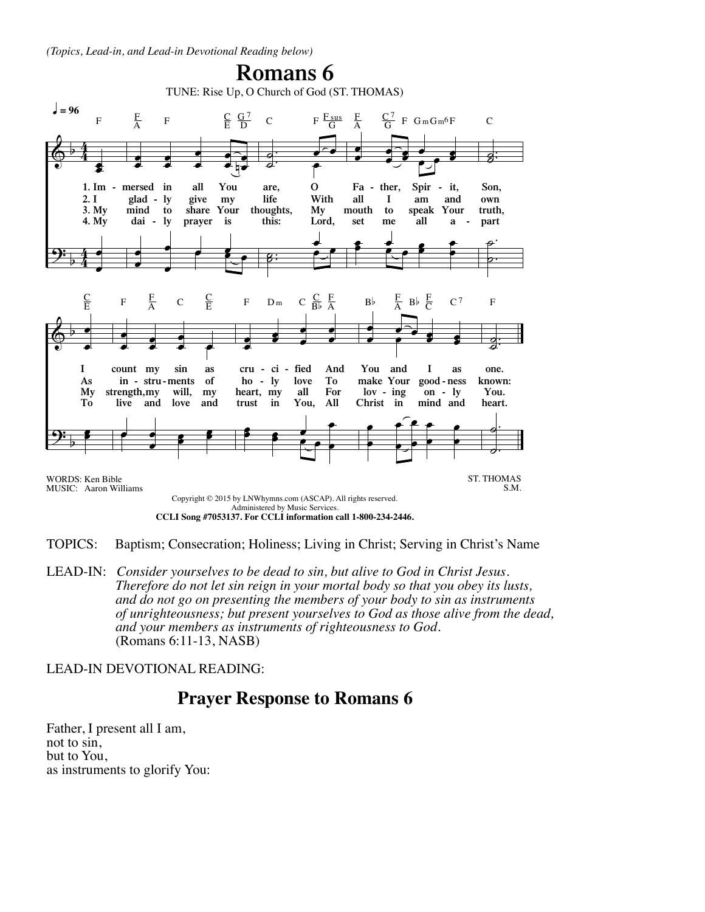*(Topics, Lead-in, and Lead-in Devotional Reading below)*



TOPICS: Baptism; Consecration; Holiness; Living in Christ; Serving in Christ's Name

LEAD-IN: Consider yourselves to be dead to sin, but alive to God in Christ Jesus.<br>Therefore do not let sin reign in your mortal body so that you obey its lusts,<br>and do not go on presenting the members of your body to sin a

LEAD-IN DEVOTIONAL READING:

## **Prayer Response to Romans 6**

Father, I present all I am, not to sin, but to You, as instruments to glorify You: